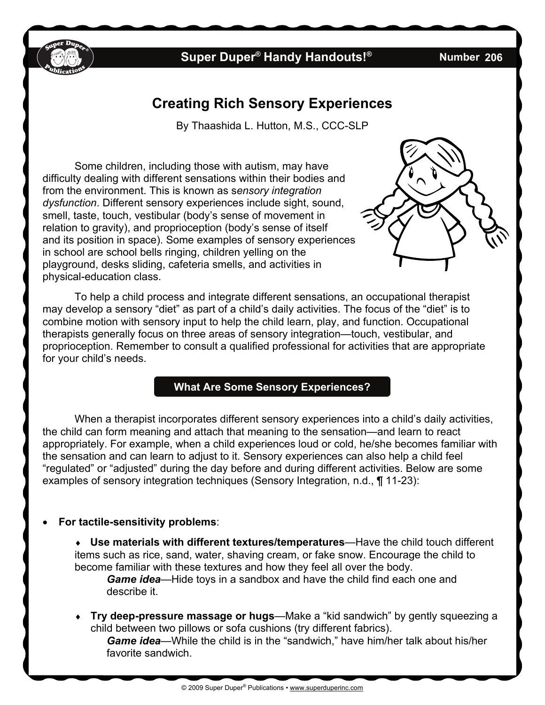

## **Super Duper<sup>®</sup> Handy Handouts!<sup>®</sup>**

**206** 

# **Creating Rich Sensory Experiences**

By Thaashida L. Hutton, M.S., CCC-SLP

Some children, including those with autism, may have difficulty dealing with different sensations within their bodies and from the environment. This is known as s*ensory integration dysfunction*. Different sensory experiences include sight, sound, smell, taste, touch, vestibular (body's sense of movement in relation to gravity), and proprioception (body's sense of itself and its position in space). Some examples of sensory experiences in school are school bells ringing, children yelling on the playground, desks sliding, cafeteria smells, and activities in physical-education class.

To help a child process and integrate different sensations, an occupational therapist may develop a sensory "diet" as part of a child's daily activities. The focus of the "diet" is to combine motion with sensory input to help the child learn, play, and function. Occupational therapists generally focus on three areas of sensory integration—touch, vestibular, and proprioception. Remember to consult a qualified professional for activities that are appropriate for your child's needs.

### **What Are Some Sensory Experiences?**

When a therapist incorporates different sensory experiences into a child's daily activities, the child can form meaning and attach that meaning to the sensation—and learn to react appropriately. For example, when a child experiences loud or cold, he/she becomes familiar with the sensation and can learn to adjust to it. Sensory experiences can also help a child feel "regulated" or "adjusted" during the day before and during different activities. Below are some examples of sensory integration techniques (Sensory Integration, n.d., ¶ 11-23):

#### **For tactile-sensitivity problems**:

 **Use materials with different textures/temperatures**—Have the child touch different items such as rice, sand, water, shaving cream, or fake snow. Encourage the child to become familiar with these textures and how they feel all over the body.

*Game idea*—Hide toys in a sandbox and have the child find each one and describe it.

 **Try deep-pressure massage or hugs**—Make a "kid sandwich" by gently squeezing a child between two pillows or sofa cushions (try different fabrics).

*Game idea*—While the child is in the "sandwich," have him/her talk about his/her favorite sandwich.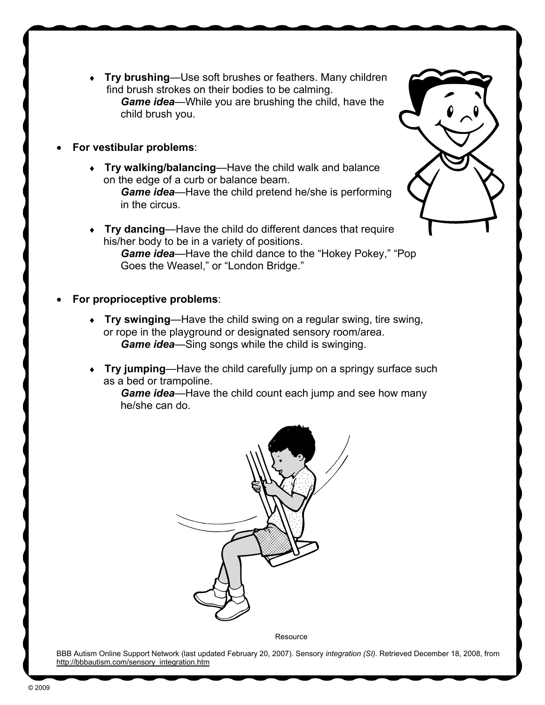- **Try brushing**—Use soft brushes or feathers. Many children find brush strokes on their bodies to be calming. *Game idea*—While you are brushing the child, have the child brush you.
- **For vestibular problems**:
	- **Try walking/balancing**—Have the child walk and balance on the edge of a curb or balance beam.

*Game idea*—Have the child pretend he/she is performing in the circus.

- **Try dancing**—Have the child do different dances that require his/her body to be in a variety of positions. *Game idea*—Have the child dance to the "Hokey Pokey," "Pop Goes the Weasel," or "London Bridge."
- **For proprioceptive problems**:
	- **Try swinging**—Have the child swing on a regular swing, tire swing, or rope in the playground or designated sensory room/area. *Game idea*—Sing songs while the child is swinging.
	- **Try jumping**—Have the child carefully jump on a springy surface such as a bed or trampoline.

*Game idea*—Have the child count each jump and see how many he/she can do.



**Resource** 

BBB Autism Online Support Network (last updated February 20, 2007). Sensory *integration (SI)*. Retrieved December 18, 2008, from [http://bbbautism.com/sensory\\_integration.htm](http://bbbautism.com/sensory_integration.htm)